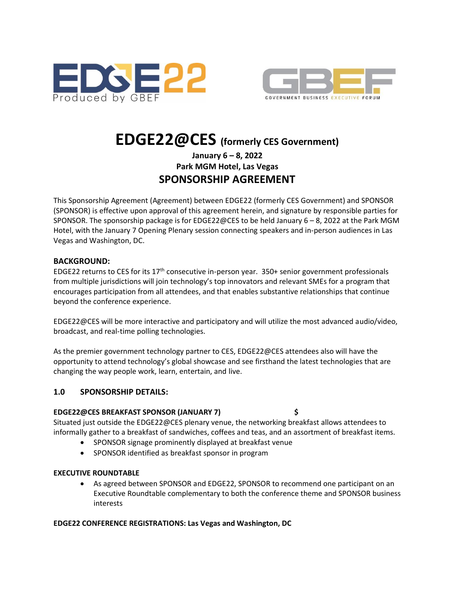



# **EDGE22@CES (formerly CES Government)**

# **January 6 – 8, 2022 Park MGM Hotel, Las Vegas SPONSORSHIP AGREEMENT**

This Sponsorship Agreement (Agreement) between EDGE22 (formerly CES Government) and SPONSOR (SPONSOR) is effective upon approval of this agreement herein, and signature by responsible parties for SPONSOR. The sponsorship package is for EDGE22@CES to be held January 6 – 8, 2022 at the Park MGM Hotel, with the January 7 Opening Plenary session connecting speakers and in-person audiences in Las Vegas and Washington, DC.

#### **BACKGROUND:**

EDGE22 returns to CES for its 17th consecutive in-person year. 350+ senior government professionals from multiple jurisdictions will join technology's top innovators and relevant SMEs for a program that encourages participation from all attendees, and that enables substantive relationships that continue beyond the conference experience.

EDGE22@CES will be more interactive and participatory and will utilize the most advanced audio/video, broadcast, and real-time polling technologies.

As the premier government technology partner to CES, EDGE22@CES attendees also will have the opportunity to attend technology's global showcase and see firsthand the latest technologies that are changing the way people work, learn, entertain, and live.

# **1.0 SPONSORSHIP DETAILS:**

#### **EDGE22@CES BREAKFAST SPONSOR (JANUARY 7) \$**

Situated just outside the EDGE22@CES plenary venue, the networking breakfast allows attendees to informally gather to a breakfast of sandwiches, coffees and teas, and an assortment of breakfast items.

- SPONSOR signage prominently displayed at breakfast venue
- SPONSOR identified as breakfast sponsor in program

# **EXECUTIVE ROUNDTABLE**

• As agreed between SPONSOR and EDGE22, SPONSOR to recommend one participant on an Executive Roundtable complementary to both the conference theme and SPONSOR business interests

# **EDGE22 CONFERENCE REGISTRATIONS: Las Vegas and Washington, DC**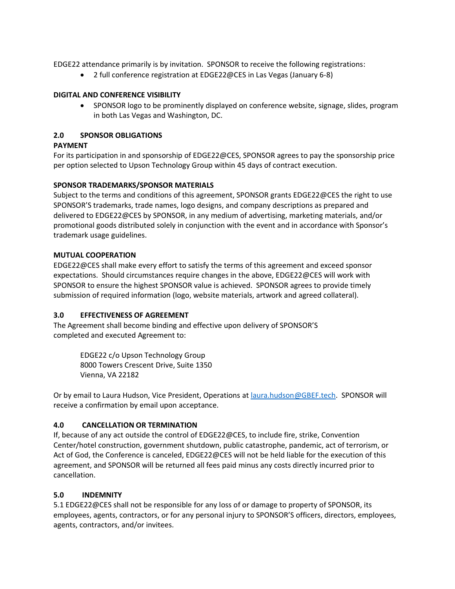EDGE22 attendance primarily is by invitation. SPONSOR to receive the following registrations:

• 2 full conference registration at EDGE22@CES in Las Vegas (January 6-8)

#### **DIGITAL AND CONFERENCE VISIBILITY**

• SPONSOR logo to be prominently displayed on conference website, signage, slides, program in both Las Vegas and Washington, DC.

#### **2.0 SPONSOR OBLIGATIONS**

#### **PAYMENT**

For its participation in and sponsorship of EDGE22@CES, SPONSOR agrees to pay the sponsorship price per option selected to Upson Technology Group within 45 days of contract execution.

#### **SPONSOR TRADEMARKS/SPONSOR MATERIALS**

Subject to the terms and conditions of this agreement, SPONSOR grants EDGE22@CES the right to use SPONSOR'S trademarks, trade names, logo designs, and company descriptions as prepared and delivered to EDGE22@CES by SPONSOR, in any medium of advertising, marketing materials, and/or promotional goods distributed solely in conjunction with the event and in accordance with Sponsor's trademark usage guidelines.

#### **MUTUAL COOPERATION**

EDGE22@CES shall make every effort to satisfy the terms of this agreement and exceed sponsor expectations. Should circumstances require changes in the above, EDGE22@CES will work with SPONSOR to ensure the highest SPONSOR value is achieved. SPONSOR agrees to provide timely submission of required information (logo, website materials, artwork and agreed collateral).

#### **3.0 EFFECTIVENESS OF AGREEMENT**

The Agreement shall become binding and effective upon delivery of SPONSOR'S completed and executed Agreement to:

> EDGE22 c/o Upson Technology Group 8000 Towers Crescent Drive, Suite 1350 Vienna, VA 22182

Or by email to Laura Hudson, Vice President, Operations a[t laura.hudson@GBEF.tech.](mailto:laura.hudson@GBEF.tech) SPONSOR will receive a confirmation by email upon acceptance.

#### **4.0 CANCELLATION OR TERMINATION**

If, because of any act outside the control of EDGE22@CES, to include fire, strike, Convention Center/hotel construction, government shutdown, public catastrophe, pandemic, act of terrorism, or Act of God, the Conference is canceled, EDGE22@CES will not be held liable for the execution of this agreement, and SPONSOR will be returned all fees paid minus any costs directly incurred prior to cancellation.

#### **5.0 INDEMNITY**

5.1 EDGE22@CES shall not be responsible for any loss of or damage to property of SPONSOR, its employees, agents, contractors, or for any personal injury to SPONSOR'S officers, directors, employees, agents, contractors, and/or invitees.